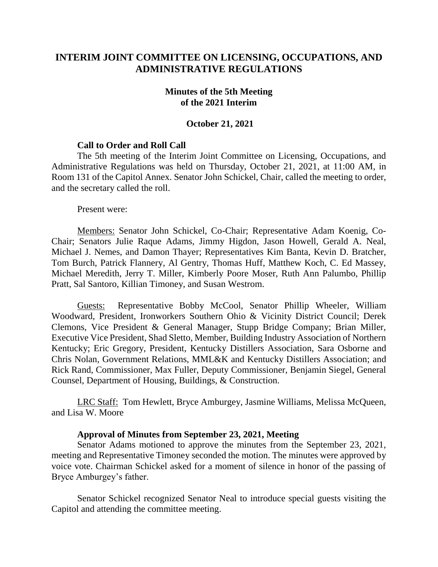# **INTERIM JOINT COMMITTEE ON LICENSING, OCCUPATIONS, AND ADMINISTRATIVE REGULATIONS**

#### **Minutes of the 5th Meeting of the 2021 Interim**

### **October 21, 2021**

### **Call to Order and Roll Call**

The 5th meeting of the Interim Joint Committee on Licensing, Occupations, and Administrative Regulations was held on Thursday, October 21, 2021, at 11:00 AM, in Room 131 of the Capitol Annex. Senator John Schickel, Chair, called the meeting to order, and the secretary called the roll.

Present were:

Members: Senator John Schickel, Co-Chair; Representative Adam Koenig, Co-Chair; Senators Julie Raque Adams, Jimmy Higdon, Jason Howell, Gerald A. Neal, Michael J. Nemes, and Damon Thayer; Representatives Kim Banta, Kevin D. Bratcher, Tom Burch, Patrick Flannery, Al Gentry, Thomas Huff, Matthew Koch, C. Ed Massey, Michael Meredith, Jerry T. Miller, Kimberly Poore Moser, Ruth Ann Palumbo, Phillip Pratt, Sal Santoro, Killian Timoney, and Susan Westrom.

Guests: Representative Bobby McCool, Senator Phillip Wheeler, William Woodward, President, Ironworkers Southern Ohio & Vicinity District Council; Derek Clemons, Vice President & General Manager, Stupp Bridge Company; Brian Miller, Executive Vice President, Shad Sletto, Member, Building Industry Association of Northern Kentucky; Eric Gregory, President, Kentucky Distillers Association, Sara Osborne and Chris Nolan, Government Relations, MML&K and Kentucky Distillers Association; and Rick Rand, Commissioner, Max Fuller, Deputy Commissioner, Benjamin Siegel, General Counsel, Department of Housing, Buildings, & Construction.

LRC Staff: Tom Hewlett, Bryce Amburgey, Jasmine Williams, Melissa McQueen, and Lisa W. Moore

#### **Approval of Minutes from September 23, 2021, Meeting**

Senator Adams motioned to approve the minutes from the September 23, 2021, meeting and Representative Timoney seconded the motion. The minutes were approved by voice vote. Chairman Schickel asked for a moment of silence in honor of the passing of Bryce Amburgey's father.

Senator Schickel recognized Senator Neal to introduce special guests visiting the Capitol and attending the committee meeting.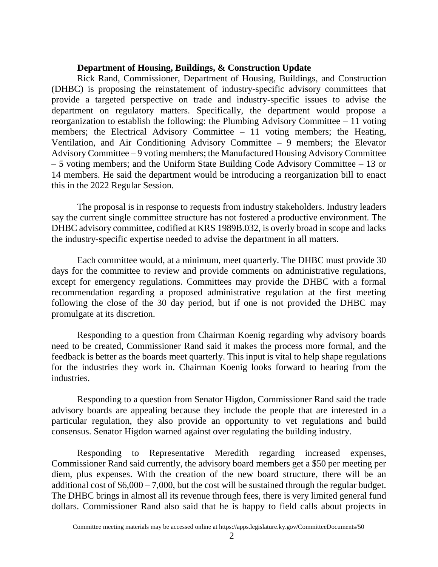### **Department of Housing, Buildings, & Construction Update**

Rick Rand, Commissioner, Department of Housing, Buildings, and Construction (DHBC) is proposing the reinstatement of industry-specific advisory committees that provide a targeted perspective on trade and industry-specific issues to advise the department on regulatory matters. Specifically, the department would propose a reorganization to establish the following: the Plumbing Advisory Committee – 11 voting members; the Electrical Advisory Committee – 11 voting members; the Heating, Ventilation, and Air Conditioning Advisory Committee – 9 members; the Elevator Advisory Committee – 9 voting members; the Manufactured Housing Advisory Committee – 5 voting members; and the Uniform State Building Code Advisory Committee – 13 or 14 members. He said the department would be introducing a reorganization bill to enact this in the 2022 Regular Session.

The proposal is in response to requests from industry stakeholders. Industry leaders say the current single committee structure has not fostered a productive environment. The DHBC advisory committee, codified at KRS 1989B.032, is overly broad in scope and lacks the industry-specific expertise needed to advise the department in all matters.

Each committee would, at a minimum, meet quarterly. The DHBC must provide 30 days for the committee to review and provide comments on administrative regulations, except for emergency regulations. Committees may provide the DHBC with a formal recommendation regarding a proposed administrative regulation at the first meeting following the close of the 30 day period, but if one is not provided the DHBC may promulgate at its discretion.

Responding to a question from Chairman Koenig regarding why advisory boards need to be created, Commissioner Rand said it makes the process more formal, and the feedback is better as the boards meet quarterly. This input is vital to help shape regulations for the industries they work in. Chairman Koenig looks forward to hearing from the industries.

Responding to a question from Senator Higdon, Commissioner Rand said the trade advisory boards are appealing because they include the people that are interested in a particular regulation, they also provide an opportunity to vet regulations and build consensus. Senator Higdon warned against over regulating the building industry.

Responding to Representative Meredith regarding increased expenses, Commissioner Rand said currently, the advisory board members get a \$50 per meeting per diem, plus expenses. With the creation of the new board structure, there will be an additional cost of  $$6,000 - 7,000$ , but the cost will be sustained through the regular budget. The DHBC brings in almost all its revenue through fees, there is very limited general fund dollars. Commissioner Rand also said that he is happy to field calls about projects in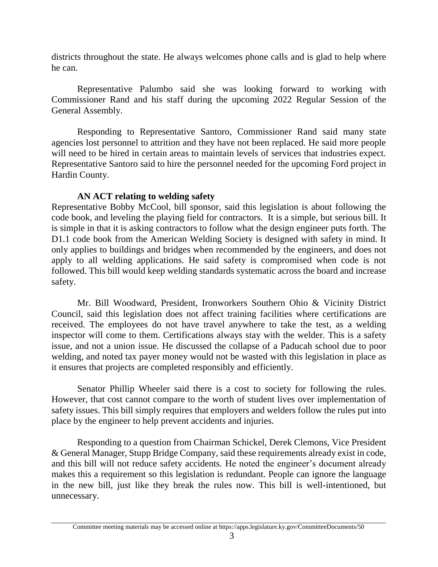districts throughout the state. He always welcomes phone calls and is glad to help where he can.

Representative Palumbo said she was looking forward to working with Commissioner Rand and his staff during the upcoming 2022 Regular Session of the General Assembly.

Responding to Representative Santoro, Commissioner Rand said many state agencies lost personnel to attrition and they have not been replaced. He said more people will need to be hired in certain areas to maintain levels of services that industries expect. Representative Santoro said to hire the personnel needed for the upcoming Ford project in Hardin County.

# **AN ACT relating to welding safety**

Representative Bobby McCool, bill sponsor, said this legislation is about following the code book, and leveling the playing field for contractors. It is a simple, but serious bill. It is simple in that it is asking contractors to follow what the design engineer puts forth. The D1.1 code book from the American Welding Society is designed with safety in mind. It only applies to buildings and bridges when recommended by the engineers, and does not apply to all welding applications. He said safety is compromised when code is not followed. This bill would keep welding standards systematic across the board and increase safety.

Mr. Bill Woodward, President, Ironworkers Southern Ohio & Vicinity District Council, said this legislation does not affect training facilities where certifications are received. The employees do not have travel anywhere to take the test, as a welding inspector will come to them. Certifications always stay with the welder. This is a safety issue, and not a union issue. He discussed the collapse of a Paducah school due to poor welding, and noted tax payer money would not be wasted with this legislation in place as it ensures that projects are completed responsibly and efficiently.

Senator Phillip Wheeler said there is a cost to society for following the rules. However, that cost cannot compare to the worth of student lives over implementation of safety issues. This bill simply requires that employers and welders follow the rules put into place by the engineer to help prevent accidents and injuries.

Responding to a question from Chairman Schickel, Derek Clemons, Vice President & General Manager, Stupp Bridge Company, said these requirements already exist in code, and this bill will not reduce safety accidents. He noted the engineer's document already makes this a requirement so this legislation is redundant. People can ignore the language in the new bill, just like they break the rules now. This bill is well-intentioned, but unnecessary.

Committee meeting materials may be accessed online at https://apps.legislature.ky.gov/CommitteeDocuments/50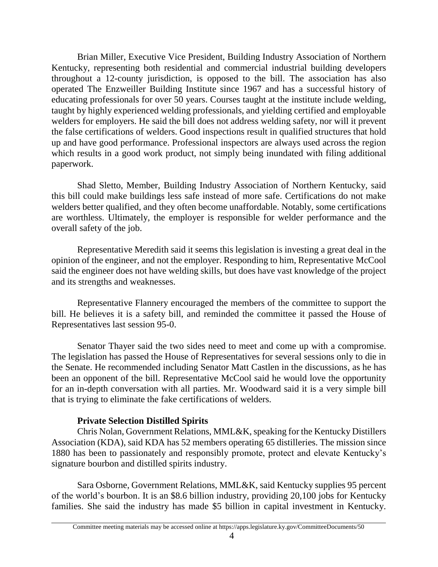Brian Miller, Executive Vice President, Building Industry Association of Northern Kentucky, representing both residential and commercial industrial building developers throughout a 12-county jurisdiction, is opposed to the bill. The association has also operated The Enzweiller Building Institute since 1967 and has a successful history of educating professionals for over 50 years. Courses taught at the institute include welding, taught by highly experienced welding professionals, and yielding certified and employable welders for employers. He said the bill does not address welding safety, nor will it prevent the false certifications of welders. Good inspections result in qualified structures that hold up and have good performance. Professional inspectors are always used across the region which results in a good work product, not simply being inundated with filing additional paperwork.

Shad Sletto, Member, Building Industry Association of Northern Kentucky, said this bill could make buildings less safe instead of more safe. Certifications do not make welders better qualified, and they often become unaffordable. Notably, some certifications are worthless. Ultimately, the employer is responsible for welder performance and the overall safety of the job.

Representative Meredith said it seems this legislation is investing a great deal in the opinion of the engineer, and not the employer. Responding to him, Representative McCool said the engineer does not have welding skills, but does have vast knowledge of the project and its strengths and weaknesses.

Representative Flannery encouraged the members of the committee to support the bill. He believes it is a safety bill, and reminded the committee it passed the House of Representatives last session 95-0.

Senator Thayer said the two sides need to meet and come up with a compromise. The legislation has passed the House of Representatives for several sessions only to die in the Senate. He recommended including Senator Matt Castlen in the discussions, as he has been an opponent of the bill. Representative McCool said he would love the opportunity for an in-depth conversation with all parties. Mr. Woodward said it is a very simple bill that is trying to eliminate the fake certifications of welders.

# **Private Selection Distilled Spirits**

Chris Nolan, Government Relations, MML&K, speaking for the Kentucky Distillers Association (KDA), said KDA has 52 members operating 65 distilleries. The mission since 1880 has been to passionately and responsibly promote, protect and elevate Kentucky's signature bourbon and distilled spirits industry.

Sara Osborne, Government Relations, MML&K, said Kentucky supplies 95 percent of the world's bourbon. It is an \$8.6 billion industry, providing 20,100 jobs for Kentucky families. She said the industry has made \$5 billion in capital investment in Kentucky.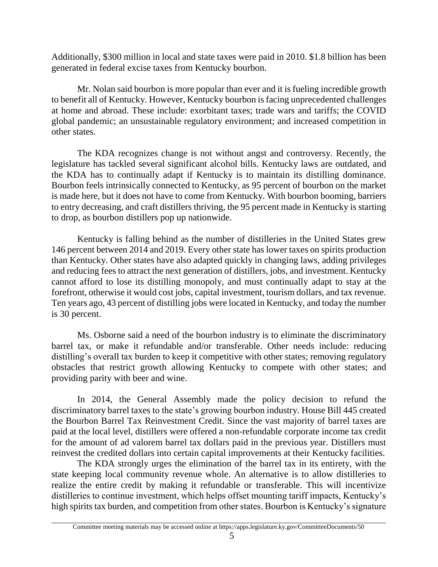Additionally, \$300 million in local and state taxes were paid in 2010. \$1.8 billion has been generated in federal excise taxes from Kentucky bourbon.

Mr. Nolan said bourbon is more popular than ever and it is fueling incredible growth to benefit all of Kentucky. However, Kentucky bourbon is facing unprecedented challenges at home and abroad. These include: exorbitant taxes; trade wars and tariffs; the COVID global pandemic; an unsustainable regulatory environment; and increased competition in other states.

The KDA recognizes change is not without angst and controversy. Recently, the legislature has tackled several significant alcohol bills. Kentucky laws are outdated, and the KDA has to continually adapt if Kentucky is to maintain its distilling dominance. Bourbon feels intrinsically connected to Kentucky, as 95 percent of bourbon on the market is made here, but it does not have to come from Kentucky. With bourbon booming, barriers to entry decreasing, and craft distillers thriving, the 95 percent made in Kentucky is starting to drop, as bourbon distillers pop up nationwide.

Kentucky is falling behind as the number of distilleries in the United States grew 146 percent between 2014 and 2019. Every other state has lower taxes on spirits production than Kentucky. Other states have also adapted quickly in changing laws, adding privileges and reducing fees to attract the next generation of distillers, jobs, and investment. Kentucky cannot afford to lose its distilling monopoly, and must continually adapt to stay at the forefront, otherwise it would cost jobs, capital investment, tourism dollars, and tax revenue. Ten years ago, 43 percent of distilling jobs were located in Kentucky, and today the number is 30 percent.

Ms. Osborne said a need of the bourbon industry is to eliminate the discriminatory barrel tax, or make it refundable and/or transferable. Other needs include: reducing distilling's overall tax burden to keep it competitive with other states; removing regulatory obstacles that restrict growth allowing Kentucky to compete with other states; and providing parity with beer and wine.

In 2014, the General Assembly made the policy decision to refund the discriminatory barrel taxes to the state's growing bourbon industry. House Bill 445 created the Bourbon Barrel Tax Reinvestment Credit. Since the vast majority of barrel taxes are paid at the local level, distillers were offered a non-refundable corporate income tax credit for the amount of ad valorem barrel tax dollars paid in the previous year. Distillers must reinvest the credited dollars into certain capital improvements at their Kentucky facilities.

The KDA strongly urges the elimination of the barrel tax in its entirety, with the state keeping local community revenue whole. An alternative is to allow distilleries to realize the entire credit by making it refundable or transferable. This will incentivize distilleries to continue investment, which helps offset mounting tariff impacts, Kentucky's high spirits tax burden, and competition from other states. Bourbon is Kentucky's signature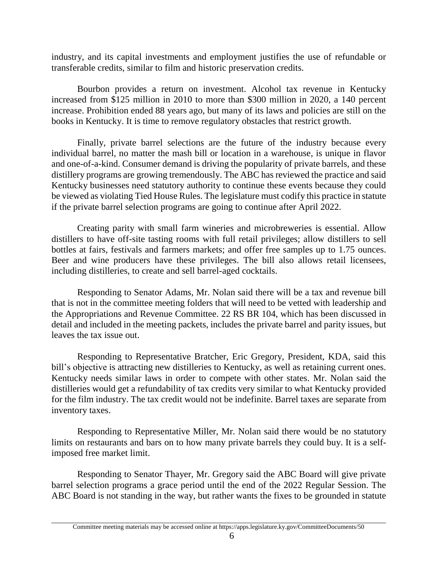industry, and its capital investments and employment justifies the use of refundable or transferable credits, similar to film and historic preservation credits.

Bourbon provides a return on investment. Alcohol tax revenue in Kentucky increased from \$125 million in 2010 to more than \$300 million in 2020, a 140 percent increase. Prohibition ended 88 years ago, but many of its laws and policies are still on the books in Kentucky. It is time to remove regulatory obstacles that restrict growth.

Finally, private barrel selections are the future of the industry because every individual barrel, no matter the mash bill or location in a warehouse, is unique in flavor and one-of-a-kind. Consumer demand is driving the popularity of private barrels, and these distillery programs are growing tremendously. The ABC has reviewed the practice and said Kentucky businesses need statutory authority to continue these events because they could be viewed as violating Tied House Rules. The legislature must codify this practice in statute if the private barrel selection programs are going to continue after April 2022.

Creating parity with small farm wineries and microbreweries is essential. Allow distillers to have off-site tasting rooms with full retail privileges; allow distillers to sell bottles at fairs, festivals and farmers markets; and offer free samples up to 1.75 ounces. Beer and wine producers have these privileges. The bill also allows retail licensees, including distilleries, to create and sell barrel-aged cocktails.

Responding to Senator Adams, Mr. Nolan said there will be a tax and revenue bill that is not in the committee meeting folders that will need to be vetted with leadership and the Appropriations and Revenue Committee. 22 RS BR 104, which has been discussed in detail and included in the meeting packets, includes the private barrel and parity issues, but leaves the tax issue out.

Responding to Representative Bratcher, Eric Gregory, President, KDA, said this bill's objective is attracting new distilleries to Kentucky, as well as retaining current ones. Kentucky needs similar laws in order to compete with other states. Mr. Nolan said the distilleries would get a refundability of tax credits very similar to what Kentucky provided for the film industry. The tax credit would not be indefinite. Barrel taxes are separate from inventory taxes.

Responding to Representative Miller, Mr. Nolan said there would be no statutory limits on restaurants and bars on to how many private barrels they could buy. It is a selfimposed free market limit.

Responding to Senator Thayer, Mr. Gregory said the ABC Board will give private barrel selection programs a grace period until the end of the 2022 Regular Session. The ABC Board is not standing in the way, but rather wants the fixes to be grounded in statute